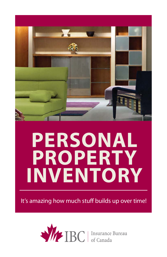

# **PERSONAL PROPERTY INVENTORY**

It's amazing how much stuff builds up over time!

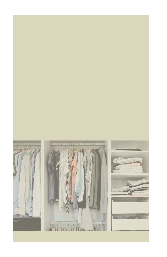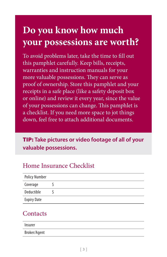## **Do you know how much your possessions are worth?**

To avoid problems later, take the time to fill out this pamphlet carefully. Keep bills, receipts, warranties and instruction manuals for your more valuable possessions. They can serve as proof of ownership. Store this pamphlet and your receipts in a safe place (like a safety deposit box or online) and review it every year, since the value of your possessions can change. This pamphlet is a checklist. If you need more space to jot things down, feel free to attach additional documents.

**TIP: Take pictures or video footage of all of your valuable possessions.**

#### Home Insurance Checklist

| <b>Policy Number</b> |  |
|----------------------|--|
| Coverage             |  |
| Deductible           |  |
| <b>Expiry Date</b>   |  |

#### **Contacts**

Insurer

Broker/Agent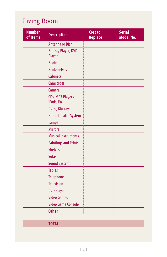## Living Room

| <b>Number</b><br>of Items | <b>Description</b>                   | Cost to<br><b>Replace</b> | <b>Serial</b><br>Model No. |
|---------------------------|--------------------------------------|---------------------------|----------------------------|
|                           | <b>Antenna or Dish</b>               |                           |                            |
|                           | <b>Blu-ray Player, DVD</b><br>Player |                           |                            |
|                           | <b>Books</b>                         |                           |                            |
|                           | <b>Bookshelves</b>                   |                           |                            |
|                           | <b>Cabinets</b>                      |                           |                            |
|                           | Camcorder                            |                           |                            |
|                           | Camera                               |                           |                            |
|                           | CDs, MP3 Players,<br>iPods, Etc.     |                           |                            |
|                           | DVDs, Blu-rays                       |                           |                            |
|                           | <b>Home Theatre System</b>           |                           |                            |
|                           | Lamps                                |                           |                            |
|                           | <b>Mirrors</b>                       |                           |                            |
|                           | <b>Musical Instruments</b>           |                           |                            |
|                           | <b>Paintings and Prints</b>          |                           |                            |
|                           | <b>Shelves</b>                       |                           |                            |
|                           | <b>Sofas</b>                         |                           |                            |
|                           | <b>Sound System</b>                  |                           |                            |
|                           | <b>Tables</b>                        |                           |                            |
|                           | Telephone                            |                           |                            |
|                           | <b>Television</b>                    |                           |                            |
|                           | <b>DVD Player</b>                    |                           |                            |
|                           | <b>Video Games</b>                   |                           |                            |
|                           | <b>Video Game Console</b>            |                           |                            |
|                           | <b>Other</b>                         |                           |                            |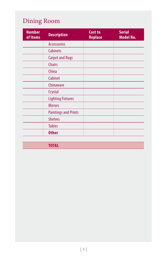## Dining Room

| <b>Number</b><br>of Items | <b>Description</b>          | Cost to<br><b>Replace</b> | <b>Serial</b><br><b>Model No.</b> |
|---------------------------|-----------------------------|---------------------------|-----------------------------------|
|                           | <b>Accessories</b>          |                           |                                   |
|                           | <b>Cabinets</b>             |                           |                                   |
|                           | <b>Carpet and Rugs</b>      |                           |                                   |
|                           | <b>Chairs</b>               |                           |                                   |
|                           | China                       |                           |                                   |
|                           | Cabinet                     |                           |                                   |
|                           | Chinaware                   |                           |                                   |
|                           | Crystal                     |                           |                                   |
|                           | <b>Lighting Fixtures</b>    |                           |                                   |
|                           | <b>Mirrors</b>              |                           |                                   |
|                           | <b>Paintings and Prints</b> |                           |                                   |
|                           | <b>Shelves</b>              |                           |                                   |
|                           | <b>Tables</b>               |                           |                                   |
|                           | <b>Other</b>                |                           |                                   |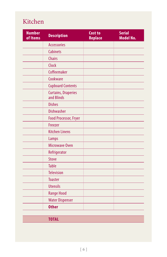#### Kitchen

| <b>Number</b><br>of Items | <b>Description</b>                       | Cost to<br><b>Replace</b> | <b>Serial</b><br><b>Model No.</b> |
|---------------------------|------------------------------------------|---------------------------|-----------------------------------|
|                           | <b>Accessories</b>                       |                           |                                   |
|                           | <b>Cabinets</b>                          |                           |                                   |
|                           | <b>Chairs</b>                            |                           |                                   |
|                           | Clock                                    |                           |                                   |
|                           | Coffeemaker                              |                           |                                   |
|                           | Cookware                                 |                           |                                   |
|                           | <b>Cupboard Contents</b>                 |                           |                                   |
|                           | <b>Curtains, Draperies</b><br>and Blinds |                           |                                   |
|                           | <b>Dishes</b>                            |                           |                                   |
|                           | <b>Dishwasher</b>                        |                           |                                   |
|                           | <b>Food Processor, Fryer</b>             |                           |                                   |
|                           | Freezer                                  |                           |                                   |
|                           | <b>Kitchen Linens</b>                    |                           |                                   |
|                           | Lamps                                    |                           |                                   |
|                           | <b>Microwave Oven</b>                    |                           |                                   |
|                           | Refrigerator                             |                           |                                   |
|                           | <b>Stove</b>                             |                           |                                   |
|                           | <b>Table</b>                             |                           |                                   |
|                           | <b>Television</b>                        |                           |                                   |
|                           | <b>Toaster</b>                           |                           |                                   |
|                           | <b>Utensils</b>                          |                           |                                   |
|                           | <b>Range Hood</b>                        |                           |                                   |
|                           | <b>Water Dispenser</b>                   |                           |                                   |
|                           | <b>Other</b>                             |                           |                                   |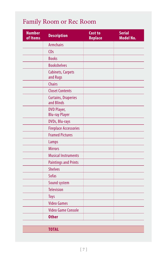## Family Room or Rec Room

| <b>Number</b><br>of Items | <b>Description</b>                          | <b>Cost to</b><br><b>Replace</b> | <b>Serial</b><br><b>Model No.</b> |
|---------------------------|---------------------------------------------|----------------------------------|-----------------------------------|
|                           | <b>Armchairs</b>                            |                                  |                                   |
|                           | <b>CDs</b>                                  |                                  |                                   |
|                           | <b>Books</b>                                |                                  |                                   |
|                           | <b>Bookshelves</b>                          |                                  |                                   |
|                           | <b>Cabinets, Carpets</b><br>and Rugs        |                                  |                                   |
|                           | <b>Chairs</b>                               |                                  |                                   |
|                           | <b>Closet Contents</b>                      |                                  |                                   |
|                           | <b>Curtains, Draperies</b><br>and Blinds    |                                  |                                   |
|                           | <b>DVD Player,</b><br><b>Blu-ray Player</b> |                                  |                                   |
|                           | DVDs, Blu-rays                              |                                  |                                   |
|                           | <b>Fireplace Accessories</b>                |                                  |                                   |
|                           | <b>Framed Pictures</b>                      |                                  |                                   |
|                           | Lamps                                       |                                  |                                   |
|                           | <b>Mirrors</b>                              |                                  |                                   |
|                           | <b>Musical Instruments</b>                  |                                  |                                   |
|                           | <b>Paintings and Prints</b>                 |                                  |                                   |
|                           | <b>Shelves</b>                              |                                  |                                   |
|                           | <b>Sofas</b>                                |                                  |                                   |
|                           | Sound system                                |                                  |                                   |
|                           | <b>Television</b>                           |                                  |                                   |
|                           | <b>Toys</b>                                 |                                  |                                   |
|                           | <b>Video Games</b>                          |                                  |                                   |
|                           | <b>Video Game Console</b>                   |                                  |                                   |
|                           | <b>Other</b>                                |                                  |                                   |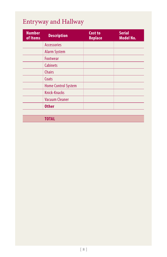## Entryway and Hallway

| <b>Number</b><br>of Items | <b>Description</b>         | Cost to<br><b>Replace</b> | <b>Serial</b><br><b>Model No.</b> |
|---------------------------|----------------------------|---------------------------|-----------------------------------|
|                           | <b>Accessories</b>         |                           |                                   |
|                           | <b>Alarm System</b>        |                           |                                   |
|                           | Footwear                   |                           |                                   |
|                           | <b>Cabinets</b>            |                           |                                   |
|                           | <b>Chairs</b>              |                           |                                   |
|                           | Coats                      |                           |                                   |
|                           | <b>Home Control System</b> |                           |                                   |
|                           | <b>Knick-Knacks</b>        |                           |                                   |
|                           | <b>Vacuum Cleaner</b>      |                           |                                   |
|                           | <b>Other</b>               |                           |                                   |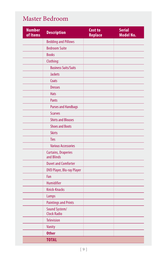#### Master Bedroom

| <b>Number</b><br>of Items | <b>Description</b>                       | Cost to<br><b>Replace</b> | <b>Serial</b><br><b>Model No.</b> |
|---------------------------|------------------------------------------|---------------------------|-----------------------------------|
|                           | <b>Bedding and Pillows</b>               |                           |                                   |
|                           | <b>Bedroom Suite</b>                     |                           |                                   |
|                           | <b>Books</b>                             |                           |                                   |
|                           | Clothing:                                |                           |                                   |
|                           | <b>Business Suits/Suits</b>              |                           |                                   |
|                           | <b>Jackets</b>                           |                           |                                   |
|                           | Coats                                    |                           |                                   |
|                           | <b>Dresses</b>                           |                           |                                   |
|                           | <b>Hats</b>                              |                           |                                   |
|                           | Pants                                    |                           |                                   |
|                           | <b>Purses and Handbags</b>               |                           |                                   |
|                           | <b>Scarves</b>                           |                           |                                   |
|                           | <b>Shirts and Blouses</b>                |                           |                                   |
|                           | <b>Shoes and Boots</b>                   |                           |                                   |
|                           | <b>Skirts</b>                            |                           |                                   |
|                           | <b>Ties</b>                              |                           |                                   |
|                           | <b>Various Accessories</b>               |                           |                                   |
|                           | <b>Curtains, Draperies</b><br>and Blinds |                           |                                   |
|                           | <b>Duvet and Comforter</b>               |                           |                                   |
|                           | DVD Player, Blu-ray Player               |                           |                                   |
|                           | Fan                                      |                           |                                   |
|                           | <b>Humidifier</b>                        |                           |                                   |
|                           | Knick-Knacks                             |                           |                                   |
|                           | Lamps                                    |                           |                                   |
|                           | <b>Paintings and Prints</b>              |                           |                                   |
|                           | Sound System/<br><b>Clock Radio</b>      |                           |                                   |
|                           | <b>Television</b>                        |                           |                                   |
|                           | Vanity                                   |                           |                                   |
|                           | <b>Other</b>                             |                           |                                   |
|                           | <b>TOTAL</b>                             |                           |                                   |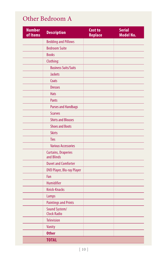## Other Bedroom A

| <b>Number</b><br>of Items | <b>Description</b>                       | <b>Cost to</b><br><b>Replace</b> | <b>Serial</b><br><b>Model No.</b> |
|---------------------------|------------------------------------------|----------------------------------|-----------------------------------|
|                           | <b>Bedding and Pillows</b>               |                                  |                                   |
|                           | <b>Bedroom Suite</b>                     |                                  |                                   |
|                           | <b>Books</b>                             |                                  |                                   |
|                           | Clothing:                                |                                  |                                   |
|                           | <b>Business Suits/Suits</b>              |                                  |                                   |
|                           | <b>Jackets</b>                           |                                  |                                   |
|                           | Coats                                    |                                  |                                   |
|                           | <b>Dresses</b>                           |                                  |                                   |
|                           | <b>Hats</b>                              |                                  |                                   |
|                           | <b>Pants</b>                             |                                  |                                   |
|                           | <b>Purses and Handbags</b>               |                                  |                                   |
|                           | <b>Scarves</b>                           |                                  |                                   |
|                           | <b>Shirts and Blouses</b>                |                                  |                                   |
|                           | <b>Shoes and Boots</b>                   |                                  |                                   |
|                           | <b>Skirts</b>                            |                                  |                                   |
|                           | <b>Ties</b>                              |                                  |                                   |
|                           | <b>Various Accessories</b>               |                                  |                                   |
|                           | <b>Curtains, Draperies</b><br>and Blinds |                                  |                                   |
|                           | <b>Duvet and Comforter</b>               |                                  |                                   |
|                           | <b>DVD Player, Blu-ray Player</b>        |                                  |                                   |
|                           | Fan                                      |                                  |                                   |
|                           | <b>Humidifier</b>                        |                                  |                                   |
|                           | <b>Knick-Knacks</b>                      |                                  |                                   |
|                           | Lamps                                    |                                  |                                   |
|                           | <b>Paintings and Prints</b>              |                                  |                                   |
|                           | Sound System/<br>Clock Radio             |                                  |                                   |
|                           | <b>Television</b>                        |                                  |                                   |
|                           | Vanity                                   |                                  |                                   |
|                           | <b>Other</b>                             |                                  |                                   |
|                           | <b>TOTAL</b>                             |                                  |                                   |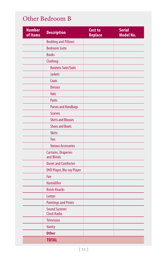### Other Bedroom B

| <b>Number</b><br>of Items | <b>Description</b>                       | Cost to<br><b>Replace</b> | <b>Serial</b><br><b>Model No.</b> |
|---------------------------|------------------------------------------|---------------------------|-----------------------------------|
|                           | <b>Bedding and Pillows</b>               |                           |                                   |
|                           | <b>Bedroom Suite</b>                     |                           |                                   |
|                           | <b>Books</b>                             |                           |                                   |
|                           | Clothing:                                |                           |                                   |
|                           | <b>Business Suits/Suits</b>              |                           |                                   |
|                           | <b>Jackets</b>                           |                           |                                   |
|                           | Coats                                    |                           |                                   |
|                           | <b>Dresses</b>                           |                           |                                   |
|                           | <b>Hats</b>                              |                           |                                   |
|                           | <b>Pants</b>                             |                           |                                   |
|                           | <b>Purses and Handbags</b>               |                           |                                   |
|                           | <b>Scarves</b>                           |                           |                                   |
|                           | <b>Shirts and Blouses</b>                |                           |                                   |
|                           | <b>Shoes and Boots</b>                   |                           |                                   |
|                           | <b>Skirts</b>                            |                           |                                   |
|                           | <b>Ties</b>                              |                           |                                   |
|                           | <b>Various Accessories</b>               |                           |                                   |
|                           | <b>Curtains, Draperies</b><br>and Blinds |                           |                                   |
|                           | <b>Duvet and Comforter</b>               |                           |                                   |
|                           | DVD Player, Blu-ray Player               |                           |                                   |
|                           | Fan                                      |                           |                                   |
|                           | <b>Humidifier</b>                        |                           |                                   |
|                           | <b>Knick-Knacks</b>                      |                           |                                   |
|                           | Lamps                                    |                           |                                   |
|                           | <b>Paintings and Prints</b>              |                           |                                   |
|                           | Sound System/<br><b>Clock Radio</b>      |                           |                                   |
|                           | <b>Television</b>                        |                           |                                   |
|                           | Vanity                                   |                           |                                   |
|                           | <b>Other</b>                             |                           |                                   |
|                           | <b>TOTAL</b>                             |                           |                                   |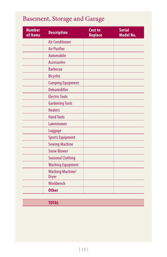## Basement, Storage and Garage

| <b>Number</b><br>of Items | <b>Description</b>                      | Cost to<br><b>Replace</b> | <b>Serial</b><br><b>Model No.</b> |
|---------------------------|-----------------------------------------|---------------------------|-----------------------------------|
|                           | <b>Air Conditioner</b>                  |                           |                                   |
|                           | <b>Air Purifier</b>                     |                           |                                   |
|                           | Automobile                              |                           |                                   |
|                           | <b>Accessories</b>                      |                           |                                   |
|                           | <b>Barbecue</b>                         |                           |                                   |
|                           | <b>Bicycles</b>                         |                           |                                   |
|                           | <b>Camping Equipment</b>                |                           |                                   |
|                           | Dehumidifier                            |                           |                                   |
|                           | <b>Electric Tools</b>                   |                           |                                   |
|                           | <b>Gardening Tools</b>                  |                           |                                   |
|                           | <b>Heaters</b>                          |                           |                                   |
|                           | <b>Hand Tools</b>                       |                           |                                   |
|                           | Lawnmower                               |                           |                                   |
|                           | Luggage                                 |                           |                                   |
|                           | <b>Sports Equipment</b>                 |                           |                                   |
|                           | <b>Sewing Machine</b>                   |                           |                                   |
|                           | <b>Snow Blower</b>                      |                           |                                   |
|                           | <b>Seasonal Clothing</b>                |                           |                                   |
|                           | <b>Washing Equipment</b>                |                           |                                   |
|                           | <b>Washing Machine/</b><br><b>Dryer</b> |                           |                                   |
|                           | Workbench                               |                           |                                   |
|                           | <b>Other</b>                            |                           |                                   |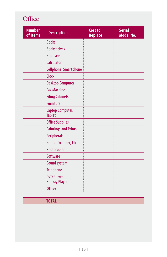## Office

| <b>Number</b><br>of Items | <b>Description</b>                          | Cost to<br><b>Replace</b> | <b>Serial</b><br><b>Model No.</b> |
|---------------------------|---------------------------------------------|---------------------------|-----------------------------------|
|                           | <b>Books</b>                                |                           |                                   |
|                           | <b>Bookshelves</b>                          |                           |                                   |
|                           | <b>Briefcase</b>                            |                           |                                   |
|                           | Calculator                                  |                           |                                   |
|                           | Cellphone, Smartphone                       |                           |                                   |
|                           | Clock                                       |                           |                                   |
|                           | <b>Desktop Computer</b>                     |                           |                                   |
|                           | <b>Fax Machine</b>                          |                           |                                   |
|                           | <b>Filing Cabinets</b>                      |                           |                                   |
|                           | <b>Furniture</b>                            |                           |                                   |
|                           | Laptop Computer,<br><b>Tablet</b>           |                           |                                   |
|                           | <b>Office Supplies</b>                      |                           |                                   |
|                           | <b>Paintings and Prints</b>                 |                           |                                   |
|                           | Peripherals                                 |                           |                                   |
|                           | Printer, Scanner, Etc.                      |                           |                                   |
|                           | Photocopier                                 |                           |                                   |
|                           | Software                                    |                           |                                   |
|                           | Sound system                                |                           |                                   |
|                           | <b>Telephone</b>                            |                           |                                   |
|                           | <b>DVD Player,</b><br><b>Blu-ray Player</b> |                           |                                   |
|                           | <b>Other</b>                                |                           |                                   |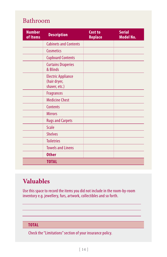#### Bathroom

| <b>Number</b><br>of Items | <b>Description</b>                                         | Cost to<br><b>Replace</b> | <b>Serial</b><br><b>Model No.</b> |
|---------------------------|------------------------------------------------------------|---------------------------|-----------------------------------|
|                           | <b>Cabinets and Contents</b>                               |                           |                                   |
|                           | Cosmetics                                                  |                           |                                   |
|                           | <b>Cupboard Contents</b>                                   |                           |                                   |
|                           | <b>Curtains Draperies</b><br>& Blinds                      |                           |                                   |
|                           | <b>Electric Appliance</b><br>(hair dryer,<br>shaver, etc.) |                           |                                   |
|                           | <b>Fragrances</b>                                          |                           |                                   |
|                           | <b>Medicine Chest</b>                                      |                           |                                   |
|                           | Contents                                                   |                           |                                   |
|                           | <b>Mirrors</b>                                             |                           |                                   |
|                           | <b>Rugs and Carpets</b>                                    |                           |                                   |
|                           | <b>Scale</b>                                               |                           |                                   |
|                           | <b>Shelves</b>                                             |                           |                                   |
|                           | <b>Toiletries</b>                                          |                           |                                   |
|                           | <b>Towels and Linens</b>                                   |                           |                                   |
|                           | <b>Other</b>                                               |                           |                                   |
|                           | <b>TOTAL</b>                                               |                           |                                   |

#### **Valuables**

Use this space to record the items you did not include in the room-by-room inventory e.g. jewellery, furs, artwork, collectibles and so forth.

#### **TOTAL**

Check the "Limitations" section of your insurance policy.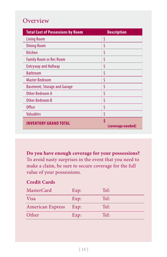#### **Overview**

| <b>Total Cost of Possessions by Room</b> | <b>Description</b>      |
|------------------------------------------|-------------------------|
| <b>Living Room</b>                       | \$                      |
| <b>Dining Room</b>                       | S                       |
| Kitchen                                  | S                       |
| <b>Family Room or Rec Room</b>           | S                       |
| <b>Entryway and Hallway</b>              | S                       |
| <b>Bathroom</b>                          | Ś                       |
| <b>Master Bedroom</b>                    | S                       |
| <b>Basement, Storage and Garage</b>      | Ś                       |
| <b>Other Bedroom A</b>                   | S                       |
| Other Bedroom B                          | Ś                       |
| Office                                   | \$                      |
| <b>Valuables</b>                         | S                       |
| <b>INVENTORY GRAND TOTAL</b>             | \$<br>(coverage needed) |

**Do you have enough coverage for your possessions?**  To avoid nasty surprises in the event that you need to make a claim, be sure to secure coverage for the full value of your possessions.

#### **Credit Cards**

| MasterCard              | Exp: | Tel: |
|-------------------------|------|------|
| Visa                    | Exp: | Tel: |
| <b>American Express</b> | Exp: | Tel: |
| Other                   | Exp: | Tel: |